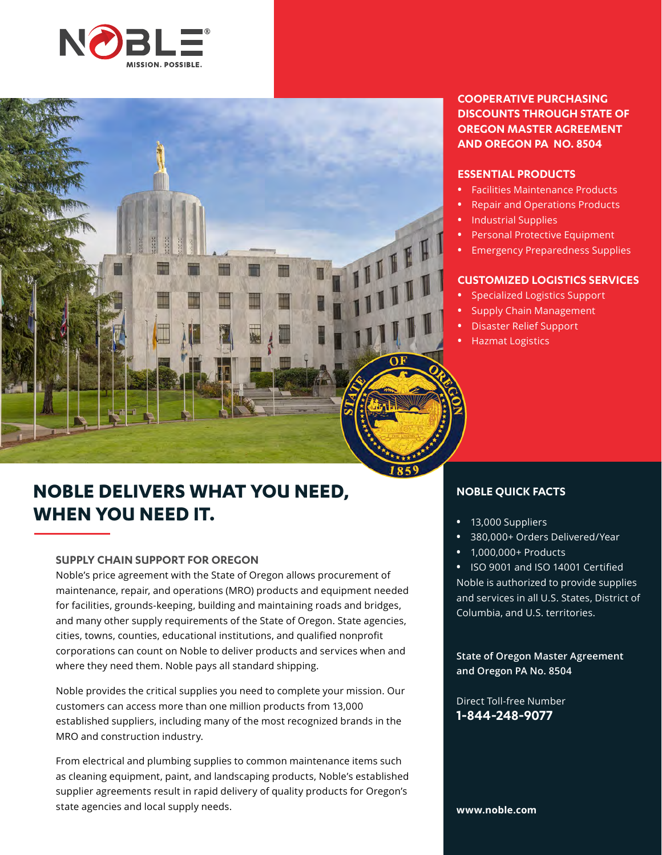



## **NOBLE DELIVERS WHAT YOU NEED, WHEN YOU NEED IT.**

#### **SUPPLY CHAIN SUPPORT FOR OREGON**

Noble's price agreement with the State of Oregon allows procurement of maintenance, repair, and operations (MRO) products and equipment needed for facilities, grounds-keeping, building and maintaining roads and bridges, and many other supply requirements of the State of Oregon. State agencies, cities, towns, counties, educational institutions, and qualified nonprofit corporations can count on Noble to deliver products and services when and where they need them. Noble pays all standard shipping.

Noble provides the critical supplies you need to complete your mission. Our customers can access more than one million products from 13,000 established suppliers, including many of the most recognized brands in the MRO and construction industry.

From electrical and plumbing supplies to common maintenance items such as cleaning equipment, paint, and landscaping products, Noble's established supplier agreements result in rapid delivery of quality products for Oregon's state agencies and local supply needs.

#### **COOPERATIVE PURCHASING DISCOUNTS THROUGH STATE OF OREGON MASTER AGREEMENT AND OREGON PA NO. 8504**

#### **ESSENTIAL PRODUCTS**

- **•** Facilities Maintenance Products
- **•** Repair and Operations Products
- **•** Industrial Supplies
- **•** Personal Protective Equipment
- **•** Emergency Preparedness Supplies

#### **CUSTOMIZED LOGISTICS SERVICES**

- **•** Specialized Logistics Support
- **•** Supply Chain Management
- **•** Disaster Relief Support
- **•** Hazmat Logistics

#### **NOBLE QUICK FACTS**

- **•** 13,000 Suppliers
- **•** 380,000+ Orders Delivered/Year
- **•** 1,000,000+ Products

**•** ISO 9001 and ISO 14001 Certified

Noble is authorized to provide supplies and services in all U.S. States, District of Columbia, and U.S. territories.

**State of Oregon Master Agreement and Oregon PA No. 8504**

Direct Toll-free Number **1-844-248-9077**